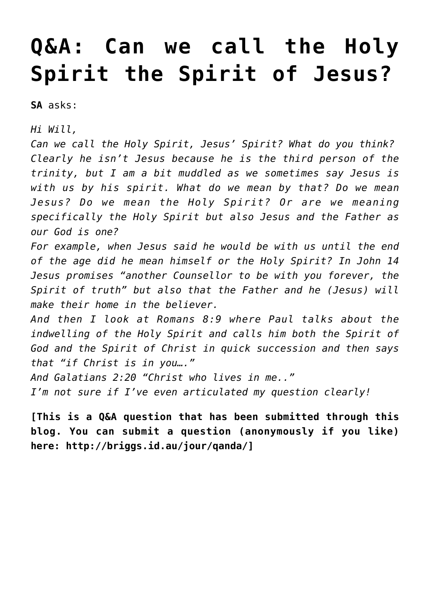## **[Q&A: Can we call the Holy](https://briggs.id.au/jour/2017/08/can-call-holy-spirit-spirit-jesus/) [Spirit the Spirit of Jesus?](https://briggs.id.au/jour/2017/08/can-call-holy-spirit-spirit-jesus/)**

**SA** asks:

*Hi Will,*

*Can we call the Holy Spirit, Jesus' Spirit? What do you think? Clearly he isn't Jesus because he is the third person of the trinity, but I am a bit muddled as we sometimes say Jesus is with us by his spirit. What do we mean by that? Do we mean Jesus? Do we mean the Holy Spirit? Or are we meaning specifically the Holy Spirit but also Jesus and the Father as our God is one?*

*For example, when Jesus said he would be with us until the end of the age did he mean himself or the Holy Spirit? In John 14 Jesus promises "another Counsellor to be with you forever, the Spirit of truth" but also that the Father and he (Jesus) will make their home in the believer.*

*And then I look at Romans 8:9 where Paul talks about the indwelling of the Holy Spirit and calls him both the Spirit of God and the Spirit of Christ in quick succession and then says that "if Christ is in you…."*

*And Galatians 2:20 "Christ who lives in me.."*

*I'm not sure if I've even articulated my question clearly!*

**[This is a Q&A question that has been submitted through this blog. You can submit a question (anonymously if you like) here:<http://briggs.id.au/jour/qanda/>]**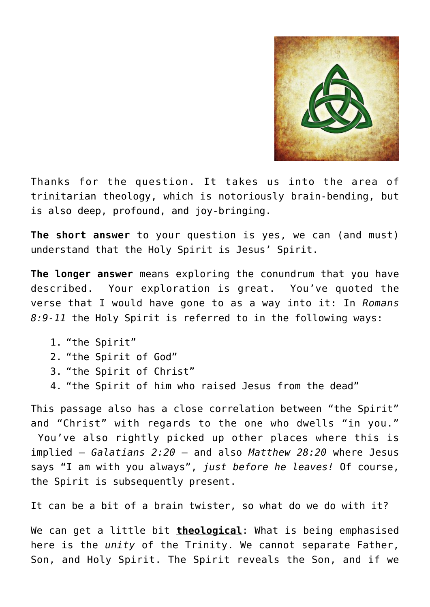

Thanks for the question. It takes us into the area of trinitarian theology, which is notoriously brain-bending, but is also deep, profound, and joy-bringing.

**The short answer** to your question is yes, we can (and must) understand that the Holy Spirit is Jesus' Spirit.

**The longer answer** means exploring the conundrum that you have described. Your exploration is great. You've quoted the verse that I would have gone to as a way into it: In *Romans 8:9-11* the Holy Spirit is referred to in the following ways:

- 1. "the Spirit"
- 2. "the Spirit of God"
- 3. "the Spirit of Christ"
- 4. "the Spirit of him who raised Jesus from the dead"

This passage also has a close correlation between "the Spirit" and "Christ" with regards to the one who dwells "in you." You've also rightly picked up other places where this is implied – *Galatians 2:20* – and also *Matthew 28:20* where Jesus says "I am with you always", *just before he leaves!* Of course, the Spirit is subsequently present.

It can be a bit of a brain twister, so what do we do with it?

We can get a little bit **theological**: What is being emphasised here is the *unity* of the Trinity. We cannot separate Father, Son, and Holy Spirit. The Spirit reveals the Son, and if we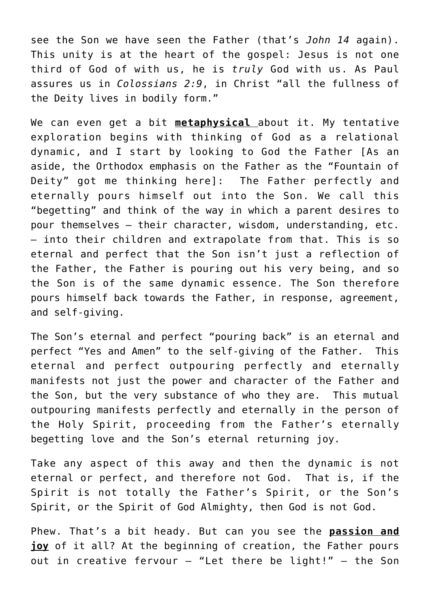see the Son we have seen the Father (that's *John 14* again). This unity is at the heart of the gospel: Jesus is not one third of God of with us, he is *truly* God with us. As Paul assures us in *Colossians 2:9*, in Christ "all the fullness of the Deity lives in bodily form."

We can even get a bit **metaphysical** about it. My tentative exploration begins with thinking of God as a relational dynamic, and I start by looking to God the Father [As an aside, the Orthodox emphasis on the Father as the "Fountain of Deity" got me thinking here]: The Father perfectly and eternally pours himself out into the Son. We call this "begetting" and think of the way in which a parent desires to pour themselves – their character, wisdom, understanding, etc. – into their children and extrapolate from that. This is so eternal and perfect that the Son isn't just a reflection of the Father, the Father is pouring out his very being, and so the Son is of the same dynamic essence. The Son therefore pours himself back towards the Father, in response, agreement, and self-giving.

The Son's eternal and perfect "pouring back" is an eternal and perfect "Yes and Amen" to the self-giving of the Father. This eternal and perfect outpouring perfectly and eternally manifests not just the power and character of the Father and the Son, but the very substance of who they are. This mutual outpouring manifests perfectly and eternally in the person of the Holy Spirit, proceeding from the Father's eternally begetting love and the Son's eternal returning joy.

Take any aspect of this away and then the dynamic is not eternal or perfect, and therefore not God. That is, if the Spirit is not totally the Father's Spirit, or the Son's Spirit, or the Spirit of God Almighty, then God is not God.

Phew. That's a bit heady. But can you see the **passion and joy** of it all? At the beginning of creation, the Father pours out in creative fervour – "Let there be light!" – the Son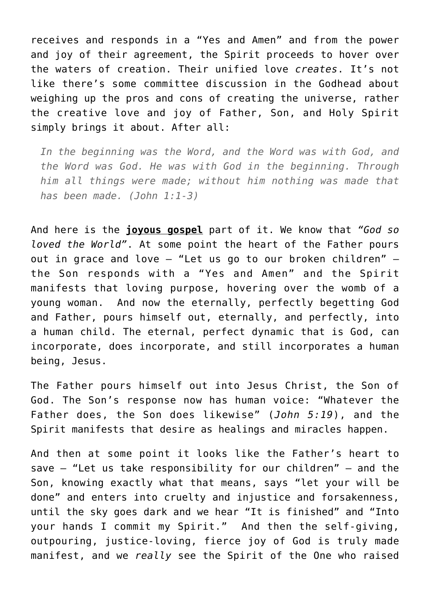receives and responds in a "Yes and Amen" and from the power and joy of their agreement, the Spirit proceeds to hover over the waters of creation. Their unified love *creates*. It's not like there's some committee discussion in the Godhead about weighing up the pros and cons of creating the universe, rather the creative love and joy of Father, Son, and Holy Spirit simply brings it about. After all:

*In the beginning was the Word, and the Word was with God, and the Word was God. He was with God in the beginning. Through him all things were made; without him nothing was made that has been made. (John 1:1-3)*

And here is the **joyous gospel** part of it. We know that *"God so loved the World"*. At some point the heart of the Father pours out in grace and love – "Let us go to our broken children" – the Son responds with a "Yes and Amen" and the Spirit manifests that loving purpose, hovering over the womb of a young woman. And now the eternally, perfectly begetting God and Father, pours himself out, eternally, and perfectly, into a human child. The eternal, perfect dynamic that is God, can incorporate, does incorporate, and still incorporates a human being, Jesus.

The Father pours himself out into Jesus Christ, the Son of God. The Son's response now has human voice: "Whatever the Father does, the Son does likewise" (*John 5:19*), and the Spirit manifests that desire as healings and miracles happen.

And then at some point it looks like the Father's heart to save – "Let us take responsibility for our children" – and the Son, knowing exactly what that means, says "let your will be done" and enters into cruelty and injustice and forsakenness, until the sky goes dark and we hear "It is finished" and "Into your hands I commit my Spirit." And then the self-giving, outpouring, justice-loving, fierce joy of God is truly made manifest, and we *really* see the Spirit of the One who raised